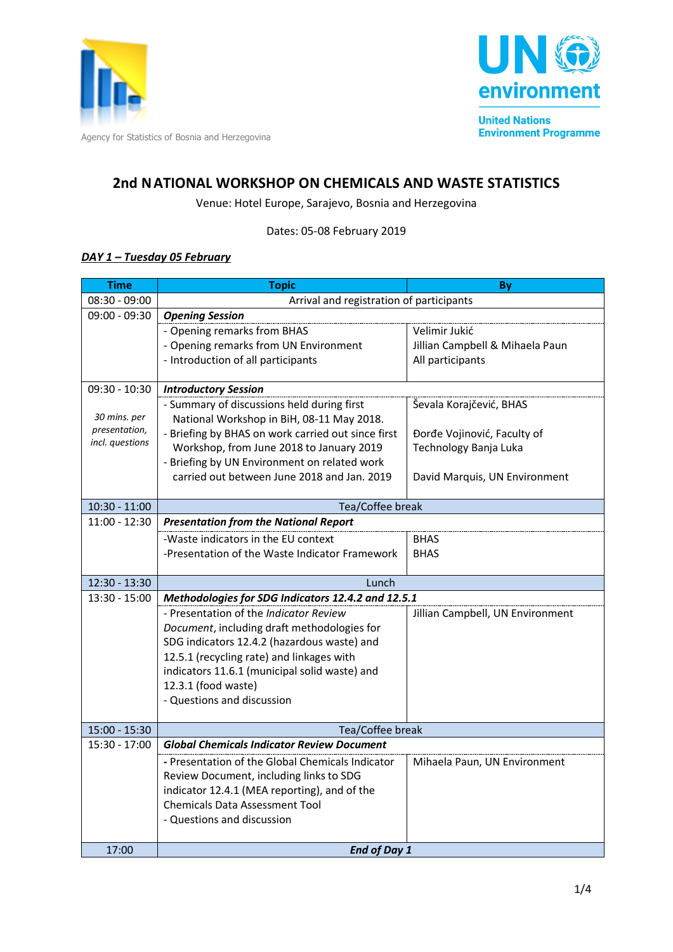



# **2nd NATIONAL WORKSHOP ON CHEMICALS AND WASTE STATISTICS**

Venue: Hotel Europe, Sarajevo, Bosnia and Herzegovina

Dates: 05-08 February 2019

### *DAY 1 – Tuesday 05 February*

| <b>Time</b>                    | <b>Topic</b>                                                          | By                               |  |
|--------------------------------|-----------------------------------------------------------------------|----------------------------------|--|
| $08:30 - 09:00$                | Arrival and registration of participants                              |                                  |  |
| $09:00 - 09:30$                | <b>Opening Session</b>                                                |                                  |  |
|                                | - Opening remarks from BHAS                                           | Velimir Jukić                    |  |
|                                | - Opening remarks from UN Environment                                 | Jillian Campbell & Mihaela Paun  |  |
|                                | - Introduction of all participants                                    | All participants                 |  |
|                                |                                                                       |                                  |  |
| $09:30 - 10:30$                | <b>Introductory Session</b>                                           |                                  |  |
|                                | - Summary of discussions held during first                            | Ševala Korajčević, BHAS          |  |
| 30 mins. per                   | National Workshop in BiH, 08-11 May 2018.                             |                                  |  |
| presentation,                  | - Briefing by BHAS on work carried out since first                    | Đorđe Vojinović, Faculty of      |  |
| incl. questions                | Workshop, from June 2018 to January 2019                              | Technology Banja Luka            |  |
|                                | - Briefing by UN Environment on related work                          |                                  |  |
|                                | carried out between June 2018 and Jan. 2019                           | David Marquis, UN Environment    |  |
|                                |                                                                       |                                  |  |
| $10:30 - 11:00$                | Tea/Coffee break                                                      |                                  |  |
| $11:00 - 12:30$                | <b>Presentation from the National Report</b>                          |                                  |  |
|                                | -Waste indicators in the EU context                                   | <b>BHAS</b>                      |  |
|                                | -Presentation of the Waste Indicator Framework                        | <b>BHAS</b>                      |  |
|                                |                                                                       |                                  |  |
| 12:30 - 13:30                  | Lunch                                                                 |                                  |  |
| $13:30 - 15:00$                | Methodologies for SDG Indicators 12.4.2 and 12.5.1                    |                                  |  |
|                                | - Presentation of the Indicator Review                                | Jillian Campbell, UN Environment |  |
|                                | Document, including draft methodologies for                           |                                  |  |
|                                | SDG indicators 12.4.2 (hazardous waste) and                           |                                  |  |
|                                | 12.5.1 (recycling rate) and linkages with                             |                                  |  |
|                                | indicators 11.6.1 (municipal solid waste) and                         |                                  |  |
|                                | 12.3.1 (food waste)                                                   |                                  |  |
|                                | - Questions and discussion                                            |                                  |  |
|                                |                                                                       |                                  |  |
| 15:00 - 15:30<br>15:30 - 17:00 | Tea/Coffee break<br><b>Global Chemicals Indicator Review Document</b> |                                  |  |
|                                |                                                                       |                                  |  |
|                                | - Presentation of the Global Chemicals Indicator                      | Mihaela Paun, UN Environment     |  |
|                                | Review Document, including links to SDG                               |                                  |  |
|                                | indicator 12.4.1 (MEA reporting), and of the                          |                                  |  |
|                                | <b>Chemicals Data Assessment Tool</b>                                 |                                  |  |
|                                | - Questions and discussion                                            |                                  |  |
| 17:00                          | <b>End of Day 1</b>                                                   |                                  |  |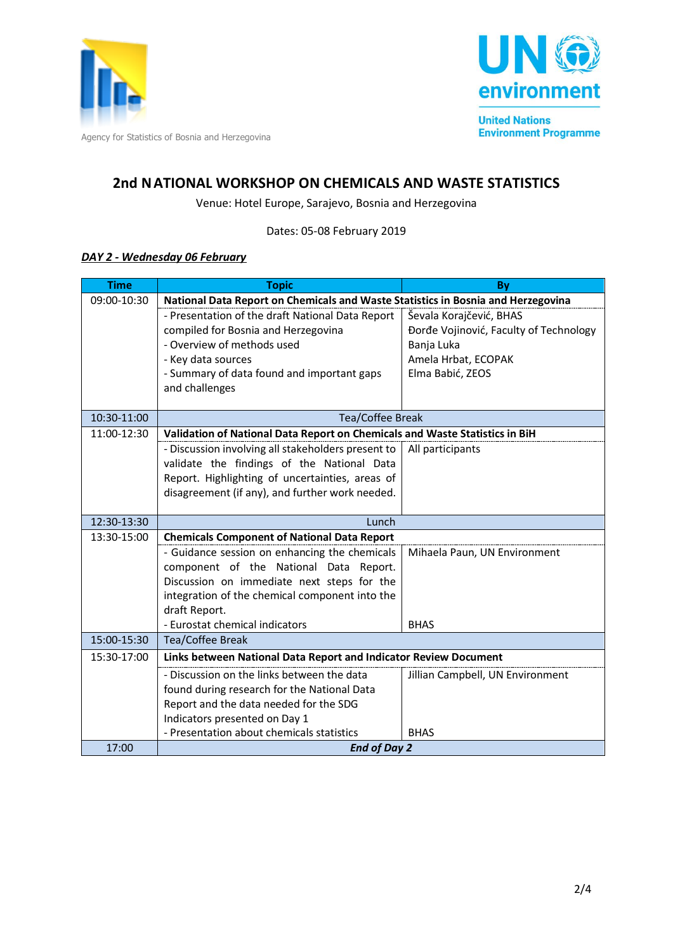



## **2nd NATIONAL WORKSHOP ON CHEMICALS AND WASTE STATISTICS**

Venue: Hotel Europe, Sarajevo, Bosnia and Herzegovina

Dates: 05-08 February 2019

#### *DAY 2 - Wednesday 06 February*

| <b>Time</b> | <b>Topic</b>                                                                     | By                                     |  |
|-------------|----------------------------------------------------------------------------------|----------------------------------------|--|
| 09:00-10:30 | National Data Report on Chemicals and Waste Statistics in Bosnia and Herzegovina |                                        |  |
|             | - Presentation of the draft National Data Report                                 | Ševala Korajčević, BHAS                |  |
|             | compiled for Bosnia and Herzegovina                                              | Đorđe Vojinović, Faculty of Technology |  |
|             | - Overview of methods used                                                       | Banja Luka                             |  |
|             | - Key data sources                                                               | Amela Hrbat, ECOPAK                    |  |
|             | - Summary of data found and important gaps                                       | Elma Babić, ZEOS                       |  |
|             | and challenges                                                                   |                                        |  |
|             |                                                                                  |                                        |  |
| 10:30-11:00 | <b>Tea/Coffee Break</b>                                                          |                                        |  |
| 11:00-12:30 | Validation of National Data Report on Chemicals and Waste Statistics in BiH      |                                        |  |
|             | - Discussion involving all stakeholders present to                               | All participants                       |  |
|             | validate the findings of the National Data                                       |                                        |  |
|             | Report. Highlighting of uncertainties, areas of                                  |                                        |  |
|             | disagreement (if any), and further work needed.                                  |                                        |  |
| 12:30-13:30 | Lunch                                                                            |                                        |  |
| 13:30-15:00 | <b>Chemicals Component of National Data Report</b>                               |                                        |  |
|             | - Guidance session on enhancing the chemicals                                    | Mihaela Paun, UN Environment           |  |
|             | component of the National Data Report.                                           |                                        |  |
|             | Discussion on immediate next steps for the                                       |                                        |  |
|             | integration of the chemical component into the                                   |                                        |  |
|             | draft Report.                                                                    |                                        |  |
|             | - Eurostat chemical indicators                                                   | <b>BHAS</b>                            |  |
| 15:00-15:30 | Tea/Coffee Break                                                                 |                                        |  |
| 15:30-17:00 | Links between National Data Report and Indicator Review Document                 |                                        |  |
|             | - Discussion on the links between the data                                       | Jillian Campbell, UN Environment       |  |
|             | found during research for the National Data                                      |                                        |  |
|             | Report and the data needed for the SDG                                           |                                        |  |
|             | Indicators presented on Day 1                                                    |                                        |  |
|             | - Presentation about chemicals statistics                                        | <b>BHAS</b>                            |  |
| 17:00       | <b>End of Day 2</b>                                                              |                                        |  |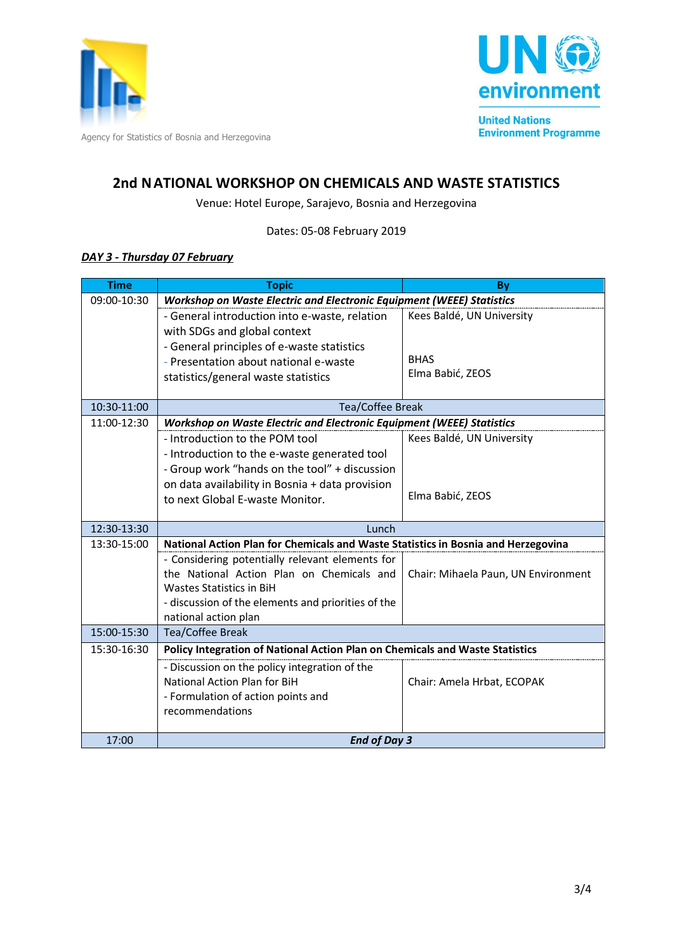



## **2nd NATIONAL WORKSHOP ON CHEMICALS AND WASTE STATISTICS**

Venue: Hotel Europe, Sarajevo, Bosnia and Herzegovina

Dates: 05-08 February 2019

#### *DAY 3 - Thursday 07 February*

| <b>Time</b> | <b>Topic</b>                                                                      | By                                  |  |
|-------------|-----------------------------------------------------------------------------------|-------------------------------------|--|
| 09:00-10:30 | Workshop on Waste Electric and Electronic Equipment (WEEE) Statistics             |                                     |  |
|             | - General introduction into e-waste, relation                                     | Kees Baldé, UN University           |  |
|             | with SDGs and global context                                                      |                                     |  |
|             | - General principles of e-waste statistics                                        |                                     |  |
|             | - Presentation about national e-waste                                             | <b>BHAS</b>                         |  |
|             | statistics/general waste statistics                                               | Elma Babić, ZEOS                    |  |
|             |                                                                                   |                                     |  |
| 10:30-11:00 | Tea/Coffee Break                                                                  |                                     |  |
| 11:00-12:30 | Workshop on Waste Electric and Electronic Equipment (WEEE) Statistics             |                                     |  |
|             | - Introduction to the POM tool                                                    | Kees Baldé, UN University           |  |
|             | - Introduction to the e-waste generated tool                                      |                                     |  |
|             | - Group work "hands on the tool" + discussion                                     |                                     |  |
|             | on data availability in Bosnia + data provision                                   |                                     |  |
|             | to next Global E-waste Monitor.                                                   | Elma Babić, ZEOS                    |  |
|             |                                                                                   |                                     |  |
| 12:30-13:30 | Lunch                                                                             |                                     |  |
| 13:30-15:00 | National Action Plan for Chemicals and Waste Statistics in Bosnia and Herzegovina |                                     |  |
|             | - Considering potentially relevant elements for                                   |                                     |  |
|             | the National Action Plan on Chemicals and                                         | Chair: Mihaela Paun, UN Environment |  |
|             | Wastes Statistics in BiH                                                          |                                     |  |
|             | - discussion of the elements and priorities of the                                |                                     |  |
| 15:00-15:30 | national action plan                                                              |                                     |  |
|             | Tea/Coffee Break                                                                  |                                     |  |
| 15:30-16:30 | Policy Integration of National Action Plan on Chemicals and Waste Statistics      |                                     |  |
|             | - Discussion on the policy integration of the                                     |                                     |  |
|             | National Action Plan for BiH                                                      | Chair: Amela Hrbat, ECOPAK          |  |
|             | - Formulation of action points and                                                |                                     |  |
|             | recommendations                                                                   |                                     |  |
|             |                                                                                   |                                     |  |
| 17:00       | <b>End of Day 3</b>                                                               |                                     |  |